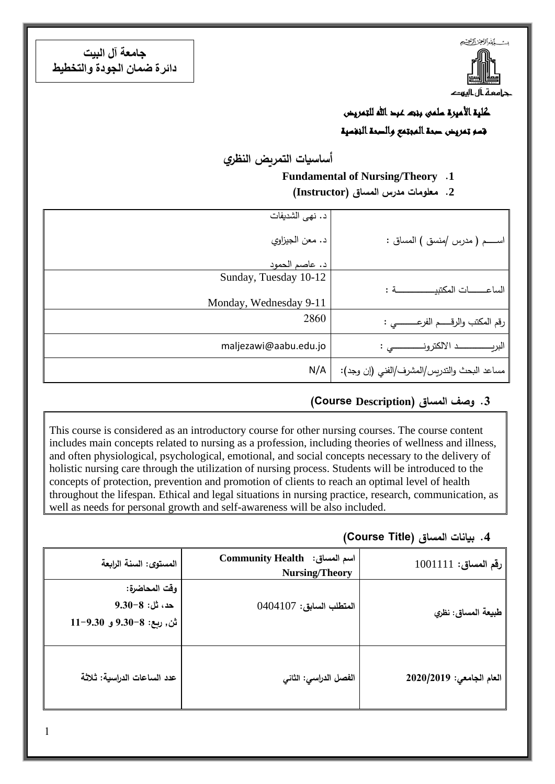**جامعة آل البيت دائرة ضمان الجودة والتخطيط**



كلية الأميرة سلمى ونعد عبد الله للتمريض قسم تمريض صحة المجتمع والصحة النفسية

**أساسيات التمريض النظري**

#### **Fundamental of Nursing/Theory .1**

**.2 معلومات مدرس المساق )Instructor)**

|                                             | د. نهي الشديفات        |
|---------------------------------------------|------------------------|
| اســـــم ( مدرس /منسق ) المساق :            | د. معن الجيزاوي        |
|                                             | د. عاصم الحمود         |
|                                             | Sunday, Tuesday 10-12  |
| الساعــــــات المكتبيـــــــــــــــــة :   |                        |
|                                             | Monday, Wednesday 9-11 |
| رقم المكتب والرقـــــم الفرعــــــــــى :   | 2860                   |
|                                             | maljezawi@aabu.edu.jo  |
| مساعد البحث والتدريس/المشرف/الفني (إن وجد): | N/A                    |

#### **.3 وصف المساق )Description Course(**

This course is considered as an introductory course for other nursing courses. The course content includes main concepts related to nursing as a profession, including theories of wellness and illness, and often physiological, psychological, emotional, and social concepts necessary to the delivery of holistic nursing care through the utilization of nursing process. Students will be introduced to the concepts of protection, prevention and promotion of clients to reach an optimal level of health throughout the lifespan. Ethical and legal situations in nursing practice, research, communication, as well as needs for personal growth and self-awareness will be also included.

#### **.4 بيانات المساق )Title Course)**

| رقم المساق: 1001111      | Community Health : اسم المساق<br><b>Nursing/Theory</b> | المستوى: السنة الرابعة                                                 |
|--------------------------|--------------------------------------------------------|------------------------------------------------------------------------|
| طبيعة المساق: نظري       | المتطلب السابق: 0404107                                | وقت المحاضرة:<br>$9.30-8:$ هه، ثل: 8-9.30<br>ثن, ربع: 8-9.30 و 9.30-11 |
| العام الجامعي: 2020/2019 | الفصل الدراسي: الثاني                                  | عدد الساعات الدراسية: ثلاثة                                            |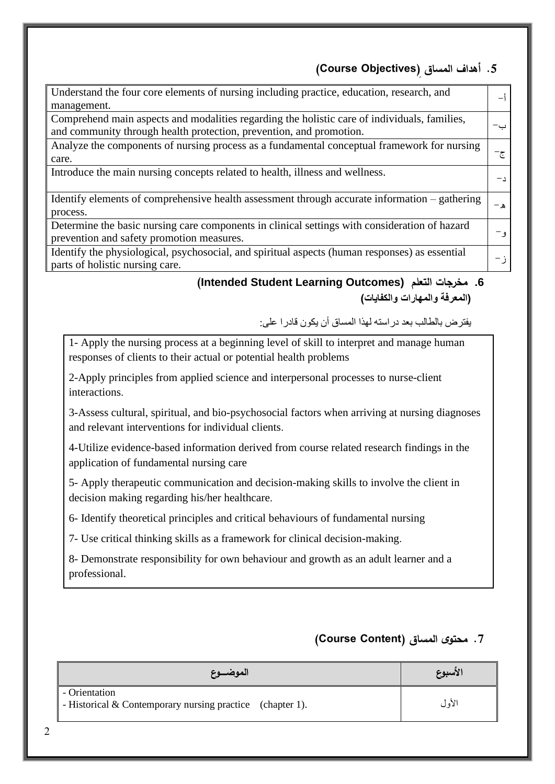## **.5 أهداف المساق ) Objectives Course)**

| Understand the four core elements of nursing including practice, education, research, and      |      |
|------------------------------------------------------------------------------------------------|------|
| management.                                                                                    |      |
| Comprehend main aspects and modalities regarding the holistic care of individuals, families,   |      |
| and community through health protection, prevention, and promotion.                            |      |
| Analyze the components of nursing process as a fundamental conceptual framework for nursing    |      |
| care.                                                                                          | ج−   |
| Introduce the main nursing concepts related to health, illness and wellness.                   |      |
|                                                                                                | $-1$ |
| Identify elements of comprehensive health assessment through accurate information – gathering  |      |
| process.                                                                                       | ه –  |
| Determine the basic nursing care components in clinical settings with consideration of hazard  |      |
| prevention and safety promotion measures.                                                      | و –  |
| Identify the physiological, psychosocial, and spiritual aspects (human responses) as essential |      |
| parts of holistic nursing care.                                                                | ز –  |

## **(Intended Student Learning Outcomes) التعلم مخرجات .6 )المعرفة والمهارات والكفايات(**

يفترض بالطالب بعد دراسته لهذا المساق أن يكون قادرا على:

1- Apply the nursing process at a beginning level of skill to interpret and manage human responses of clients to their actual or potential health problems

2-Apply principles from applied science and interpersonal processes to nurse-client interactions.

3-Assess cultural, spiritual, and bio-psychosocial factors when arriving at nursing diagnoses and relevant interventions for individual clients.

4-Utilize evidence-based information derived from course related research findings in the application of fundamental nursing care

5- Apply therapeutic communication and decision-making skills to involve the client in decision making regarding his/her healthcare.

6- Identify theoretical principles and critical behaviours of fundamental nursing

7- Use critical thinking skills as a framework for clinical decision-making.

8- Demonstrate responsibility for own behaviour and growth as an adult learner and a professional.

## **.7 محتوى المساق )Content Course)**

| الموضـــوع                                                                 | الأسبوع |
|----------------------------------------------------------------------------|---------|
| - Orientation<br>- Historical & Contemporary nursing practice (chapter 1). | الأول   |

2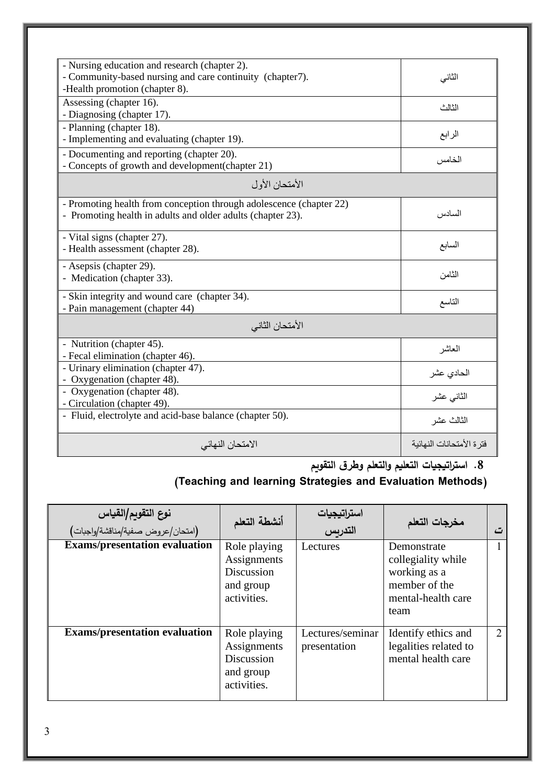| - Nursing education and research (chapter 2).<br>- Community-based nursing and care continuity (chapter7).<br>-Health promotion (chapter 8). | الثاني                    |  |
|----------------------------------------------------------------------------------------------------------------------------------------------|---------------------------|--|
| Assessing (chapter 16).<br>- Diagnosing (chapter 17).                                                                                        | الثالث                    |  |
| - Planning (chapter 18).<br>- Implementing and evaluating (chapter 19).                                                                      | الرابع                    |  |
| - Documenting and reporting (chapter 20).<br>- Concepts of growth and development (chapter 21)                                               | الخامس                    |  |
| الأمتحان الأول                                                                                                                               |                           |  |
| - Promoting health from conception through adolescence (chapter 22)<br>- Promoting health in adults and older adults (chapter 23).           | السادس                    |  |
| - Vital signs (chapter 27).<br>- Health assessment (chapter 28).                                                                             | السابع                    |  |
| - Asepsis (chapter 29).<br>- Medication (chapter 33).                                                                                        | الثامن                    |  |
| - Skin integrity and wound care (chapter 34).<br>- Pain management (chapter 44)                                                              | التاسع                    |  |
| الأمتحان الثاني                                                                                                                              |                           |  |
| - Nutrition (chapter 45).<br>- Fecal elimination (chapter 46).                                                                               | المعاشر                   |  |
| - Urinary elimination (chapter 47).<br>- Oxygenation (chapter 48).                                                                           | الحادي عشر                |  |
| - Oxygenation (chapter 48).<br>- Circulation (chapter 49).                                                                                   | الثانى عشر                |  |
| - Fluid, electrolyte and acid-base balance (chapter 50).                                                                                     | الثالث عشر                |  |
| الامتحان النهائي                                                                                                                             | فتر ة الأمتحانات النهائية |  |

**.8 است ارتيجيات التعليم والتعلم وطرق التقويم**

# **)Teaching and learning Strategies and Evaluation Methods(**

| نوع التقويم/القياس<br><b>Exams/presentation evaluation</b> | أنشطة التعلم<br>Role playing<br>Assignments<br>Discussion<br>and group<br>activities. | استراتيجيات<br>التدريس<br>Lectures | مخرجات التعلم<br>Demonstrate<br>collegiality while<br>working as a<br>member of the<br>mental-health care<br>team |   |
|------------------------------------------------------------|---------------------------------------------------------------------------------------|------------------------------------|-------------------------------------------------------------------------------------------------------------------|---|
| <b>Exams/presentation evaluation</b>                       | Role playing<br>Assignments<br>Discussion<br>and group<br>activities.                 | Lectures/seminar<br>presentation   | Identify ethics and<br>legalities related to<br>mental health care                                                | 2 |